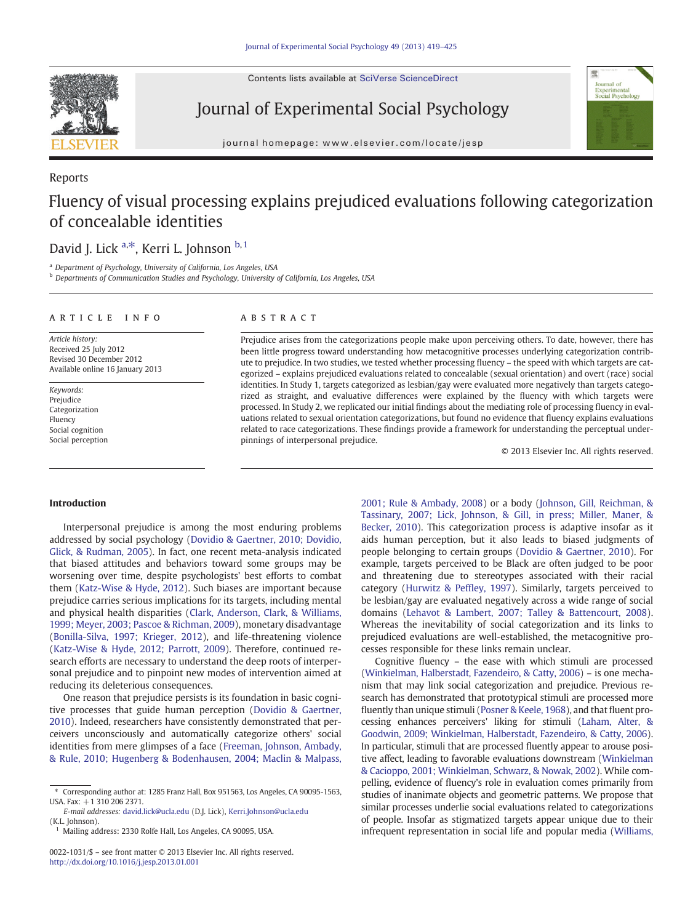Contents lists available at SciVerse ScienceDirect



Reports

Journal of Experimental Social Psychology



journal homepage: www.elsevier.com/locate/jesp

# Fluency of visual processing explains prejudiced evaluations following categorization of concealable identities

## David J. Lick <sup>a,\*</sup>, Kerri L. Johnson <sup>b, 1</sup>

<sup>a</sup> Department of Psychology, University of California, Los Angeles, USA

<sup>b</sup> Departments of Communication Studies and Psychology, University of California, Los Angeles, USA

#### article info abstract

Article history: Received 25 July 2012 Revised 30 December 2012 Available online 16 January 2013

Keywords: Prejudice Categorization Fluency Social cognition Social perception

Prejudice arises from the categorizations people make upon perceiving others. To date, however, there has been little progress toward understanding how metacognitive processes underlying categorization contribute to prejudice. In two studies, we tested whether processing fluency – the speed with which targets are categorized – explains prejudiced evaluations related to concealable (sexual orientation) and overt (race) social identities. In Study 1, targets categorized as lesbian/gay were evaluated more negatively than targets categorized as straight, and evaluative differences were explained by the fluency with which targets were processed. In Study 2, we replicated our initial findings about the mediating role of processing fluency in evaluations related to sexual orientation categorizations, but found no evidence that fluency explains evaluations related to race categorizations. These findings provide a framework for understanding the perceptual underpinnings of interpersonal prejudice.

© 2013 Elsevier Inc. All rights reserved.

#### Introduction

Interpersonal prejudice is among the most enduring problems addressed by social psychology (Dovidio & Gaertner, 2010; Dovidio, Glick, & Rudman, 2005). In fact, one recent meta-analysis indicated that biased attitudes and behaviors toward some groups may be worsening over time, despite psychologists' best efforts to combat them (Katz-Wise & Hyde, 2012). Such biases are important because prejudice carries serious implications for its targets, including mental and physical health disparities (Clark, Anderson, Clark, & Williams, 1999; Meyer, 2003; Pascoe & Richman, 2009), monetary disadvantage (Bonilla-Silva, 1997; Krieger, 2012), and life-threatening violence (Katz-Wise & Hyde, 2012; Parrott, 2009). Therefore, continued research efforts are necessary to understand the deep roots of interpersonal prejudice and to pinpoint new modes of intervention aimed at reducing its deleterious consequences.

One reason that prejudice persists is its foundation in basic cognitive processes that guide human perception (Dovidio & Gaertner, 2010). Indeed, researchers have consistently demonstrated that perceivers unconsciously and automatically categorize others' social identities from mere glimpses of a face (Freeman, Johnson, Ambady, & Rule, 2010; Hugenberg & Bodenhausen, 2004; Maclin & Malpass, 2001; Rule & Ambady, 2008) or a body (Johnson, Gill, Reichman, & Tassinary, 2007; Lick, Johnson, & Gill, in press; Miller, Maner, & Becker, 2010). This categorization process is adaptive insofar as it aids human perception, but it also leads to biased judgments of people belonging to certain groups (Dovidio & Gaertner, 2010). For example, targets perceived to be Black are often judged to be poor and threatening due to stereotypes associated with their racial category (Hurwitz & Peffley, 1997). Similarly, targets perceived to be lesbian/gay are evaluated negatively across a wide range of social domains (Lehavot & Lambert, 2007; Talley & Battencourt, 2008). Whereas the inevitability of social categorization and its links to prejudiced evaluations are well-established, the metacognitive processes responsible for these links remain unclear.

Cognitive fluency – the ease with which stimuli are processed (Winkielman, Halberstadt, Fazendeiro, & Catty, 2006) – is one mechanism that may link social categorization and prejudice. Previous research has demonstrated that prototypical stimuli are processed more fluently than unique stimuli (Posner & Keele, 1968), and that fluent processing enhances perceivers' liking for stimuli (Laham, Alter, & Goodwin, 2009; Winkielman, Halberstadt, Fazendeiro, & Catty, 2006). In particular, stimuli that are processed fluently appear to arouse positive affect, leading to favorable evaluations downstream (Winkielman & Cacioppo, 2001; Winkielman, Schwarz, & Nowak, 2002). While compelling, evidence of fluency's role in evaluation comes primarily from studies of inanimate objects and geometric patterns. We propose that similar processes underlie social evaluations related to categorizations of people. Insofar as stigmatized targets appear unique due to their infrequent representation in social life and popular media (Williams,

<sup>⁎</sup> Corresponding author at: 1285 Franz Hall, Box 951563, Los Angeles, CA 90095-1563, USA. Fax: +1 310 206 2371.

E-mail addresses: david.lick@ucla.edu (D.J. Lick), Kerri.Johnson@ucla.edu (K.L. Johnson).

Mailing address: 2330 Rolfe Hall, Los Angeles, CA 90095, USA.

<sup>0022-1031/\$</sup> – see front matter © 2013 Elsevier Inc. All rights reserved. http://dx.doi.org/10.1016/j.jesp.2013.01.001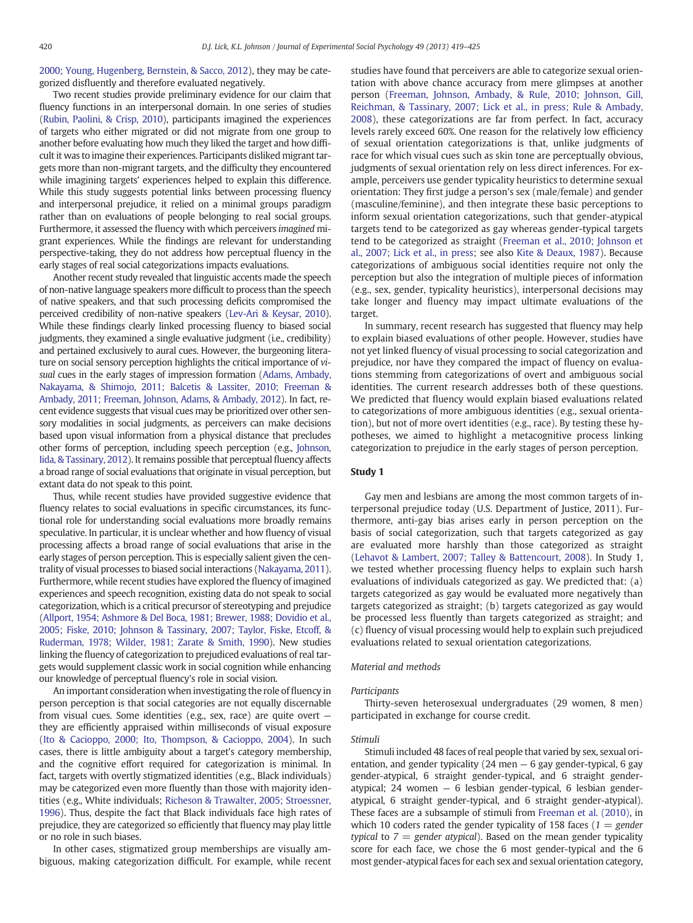2000; Young, Hugenberg, Bernstein, & Sacco, 2012), they may be categorized disfluently and therefore evaluated negatively.

Two recent studies provide preliminary evidence for our claim that fluency functions in an interpersonal domain. In one series of studies (Rubin, Paolini, & Crisp, 2010), participants imagined the experiences of targets who either migrated or did not migrate from one group to another before evaluating how much they liked the target and how difficult it was to imagine their experiences. Participants disliked migrant targets more than non-migrant targets, and the difficulty they encountered while imagining targets' experiences helped to explain this difference. While this study suggests potential links between processing fluency and interpersonal prejudice, it relied on a minimal groups paradigm rather than on evaluations of people belonging to real social groups. Furthermore, it assessed the fluency with which perceivers imagined migrant experiences. While the findings are relevant for understanding perspective-taking, they do not address how perceptual fluency in the early stages of real social categorizations impacts evaluations.

Another recent study revealed that linguistic accents made the speech of non-native language speakers more difficult to process than the speech of native speakers, and that such processing deficits compromised the perceived credibility of non-native speakers (Lev-Ari & Keysar, 2010). While these findings clearly linked processing fluency to biased social judgments, they examined a single evaluative judgment (i.e., credibility) and pertained exclusively to aural cues. However, the burgeoning literature on social sensory perception highlights the critical importance of visual cues in the early stages of impression formation (Adams, Ambady, Nakayama, & Shimojo, 2011; Balcetis & Lassiter, 2010; Freeman & Ambady, 2011; Freeman, Johnson, Adams, & Ambady, 2012). In fact, recent evidence suggests that visual cues may be prioritized over other sensory modalities in social judgments, as perceivers can make decisions based upon visual information from a physical distance that precludes other forms of perception, including speech perception (e.g., Johnson, Iida, & Tassinary, 2012). It remains possible that perceptual fluency affects a broad range of social evaluations that originate in visual perception, but extant data do not speak to this point.

Thus, while recent studies have provided suggestive evidence that fluency relates to social evaluations in specific circumstances, its functional role for understanding social evaluations more broadly remains speculative. In particular, it is unclear whether and how fluency of visual processing affects a broad range of social evaluations that arise in the early stages of person perception. This is especially salient given the centrality of visual processes to biased social interactions (Nakayama, 2011). Furthermore, while recent studies have explored the fluency of imagined experiences and speech recognition, existing data do not speak to social categorization, which is a critical precursor of stereotyping and prejudice (Allport, 1954; Ashmore & Del Boca, 1981; Brewer, 1988; Dovidio et al., 2005; Fiske, 2010; Johnson & Tassinary, 2007; Taylor, Fiske, Etcoff, & Ruderman, 1978; Wilder, 1981; Zarate & Smith, 1990). New studies linking the fluency of categorization to prejudiced evaluations of real targets would supplement classic work in social cognition while enhancing our knowledge of perceptual fluency's role in social vision.

An important consideration when investigating the role of fluency in person perception is that social categories are not equally discernable from visual cues. Some identities (e.g., sex, race) are quite overt they are efficiently appraised within milliseconds of visual exposure (Ito & Cacioppo, 2000; Ito, Thompson, & Cacioppo, 2004). In such cases, there is little ambiguity about a target's category membership, and the cognitive effort required for categorization is minimal. In fact, targets with overtly stigmatized identities (e.g., Black individuals) may be categorized even more fluently than those with majority identities (e.g., White individuals; Richeson & Trawalter, 2005; Stroessner, 1996). Thus, despite the fact that Black individuals face high rates of prejudice, they are categorized so efficiently that fluency may play little or no role in such biases.

In other cases, stigmatized group memberships are visually ambiguous, making categorization difficult. For example, while recent studies have found that perceivers are able to categorize sexual orientation with above chance accuracy from mere glimpses at another person (Freeman, Johnson, Ambady, & Rule, 2010; Johnson, Gill, Reichman, & Tassinary, 2007; Lick et al., in press; Rule & Ambady, 2008), these categorizations are far from perfect. In fact, accuracy levels rarely exceed 60%. One reason for the relatively low efficiency of sexual orientation categorizations is that, unlike judgments of race for which visual cues such as skin tone are perceptually obvious, judgments of sexual orientation rely on less direct inferences. For example, perceivers use gender typicality heuristics to determine sexual orientation: They first judge a person's sex (male/female) and gender (masculine/feminine), and then integrate these basic perceptions to inform sexual orientation categorizations, such that gender-atypical targets tend to be categorized as gay whereas gender-typical targets tend to be categorized as straight (Freeman et al., 2010; Johnson et al., 2007; Lick et al., in press; see also Kite & Deaux, 1987). Because categorizations of ambiguous social identities require not only the perception but also the integration of multiple pieces of information (e.g., sex, gender, typicality heuristics), interpersonal decisions may take longer and fluency may impact ultimate evaluations of the target.

In summary, recent research has suggested that fluency may help to explain biased evaluations of other people. However, studies have not yet linked fluency of visual processing to social categorization and prejudice, nor have they compared the impact of fluency on evaluations stemming from categorizations of overt and ambiguous social identities. The current research addresses both of these questions. We predicted that fluency would explain biased evaluations related to categorizations of more ambiguous identities (e.g., sexual orientation), but not of more overt identities (e.g., race). By testing these hypotheses, we aimed to highlight a metacognitive process linking categorization to prejudice in the early stages of person perception.

#### Study 1

Gay men and lesbians are among the most common targets of interpersonal prejudice today (U.S. Department of Justice, 2011). Furthermore, anti-gay bias arises early in person perception on the basis of social categorization, such that targets categorized as gay are evaluated more harshly than those categorized as straight (Lehavot & Lambert, 2007; Talley & Battencourt, 2008). In Study 1, we tested whether processing fluency helps to explain such harsh evaluations of individuals categorized as gay. We predicted that: (a) targets categorized as gay would be evaluated more negatively than targets categorized as straight; (b) targets categorized as gay would be processed less fluently than targets categorized as straight; and (c) fluency of visual processing would help to explain such prejudiced evaluations related to sexual orientation categorizations.

#### Material and methods

#### Participants

Thirty-seven heterosexual undergraduates (29 women, 8 men) participated in exchange for course credit.

#### Stimuli

Stimuli included 48 faces of real people that varied by sex, sexual orientation, and gender typicality  $(24 \text{ men} - 6 \text{ gay gender-type} - 1)$  fypical, 6 gay gender-atypical, 6 straight gender-typical, and 6 straight genderatypical; 24 women — 6 lesbian gender-typical, 6 lesbian genderatypical, 6 straight gender-typical, and 6 straight gender-atypical). These faces are a subsample of stimuli from Freeman et al. (2010), in which 10 coders rated the gender typicality of 158 faces ( $1 =$  gender typical to  $7 =$  gender atypical). Based on the mean gender typicality score for each face, we chose the 6 most gender-typical and the 6 most gender-atypical faces for each sex and sexual orientation category,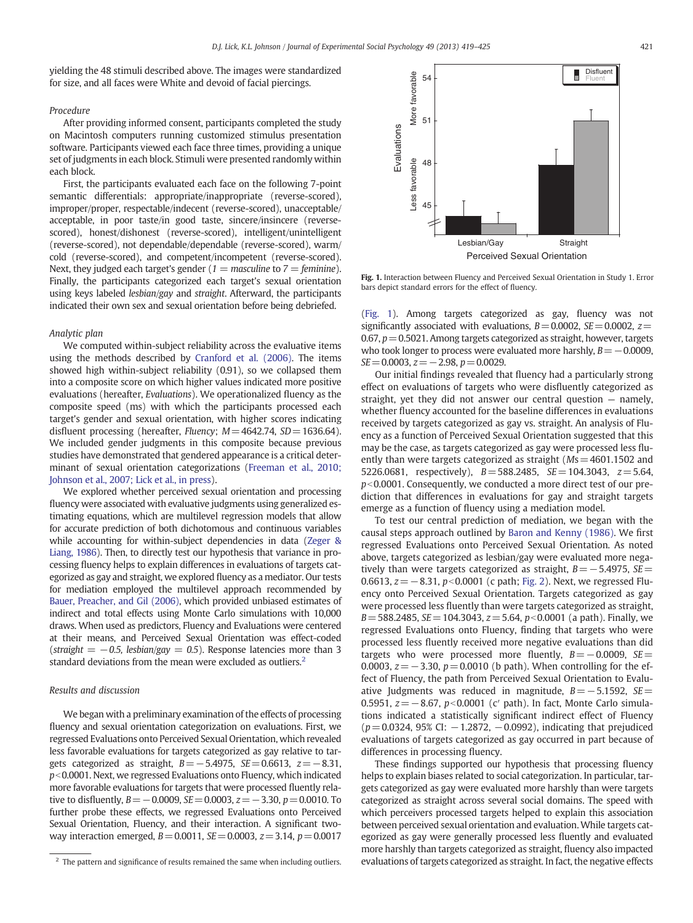yielding the 48 stimuli described above. The images were standardized for size, and all faces were White and devoid of facial piercings.

#### Procedure

After providing informed consent, participants completed the study on Macintosh computers running customized stimulus presentation software. Participants viewed each face three times, providing a unique set of judgments in each block. Stimuli were presented randomly within each block.

First, the participants evaluated each face on the following 7-point semantic differentials: appropriate/inappropriate (reverse-scored), improper/proper, respectable/indecent (reverse-scored), unacceptable/ acceptable, in poor taste/in good taste, sincere/insincere (reversescored), honest/dishonest (reverse-scored), intelligent/unintelligent (reverse-scored), not dependable/dependable (reverse-scored), warm/ cold (reverse-scored), and competent/incompetent (reverse-scored). Next, they judged each target's gender ( $1 =$  masculine to  $7 =$  feminine). Finally, the participants categorized each target's sexual orientation using keys labeled lesbian/gay and straight. Afterward, the participants indicated their own sex and sexual orientation before being debriefed.

#### Analytic plan

We computed within-subject reliability across the evaluative items using the methods described by Cranford et al. (2006). The items showed high within-subject reliability (0.91), so we collapsed them into a composite score on which higher values indicated more positive evaluations (hereafter, Evaluations). We operationalized fluency as the composite speed (ms) with which the participants processed each target's gender and sexual orientation, with higher scores indicating disfluent processing (hereafter, Fluency;  $M = 4642.74$ ,  $SD = 1636.64$ ). We included gender judgments in this composite because previous studies have demonstrated that gendered appearance is a critical determinant of sexual orientation categorizations (Freeman et al., 2010; Johnson et al., 2007; Lick et al., in press).

We explored whether perceived sexual orientation and processing fluency were associated with evaluative judgments using generalized estimating equations, which are multilevel regression models that allow for accurate prediction of both dichotomous and continuous variables while accounting for within-subject dependencies in data (Zeger & Liang, 1986). Then, to directly test our hypothesis that variance in processing fluency helps to explain differences in evaluations of targets categorized as gay and straight, we explored fluency as a mediator. Our tests for mediation employed the multilevel approach recommended by Bauer, Preacher, and Gil (2006), which provided unbiased estimates of indirect and total effects using Monte Carlo simulations with 10,000 draws. When used as predictors, Fluency and Evaluations were centered at their means, and Perceived Sexual Orientation was effect-coded (straight =  $-0.5$ , lesbian/gay = 0.5). Response latencies more than 3 standard deviations from the mean were excluded as outliers.<sup>2</sup>

#### Results and discussion

We began with a preliminary examination of the effects of processing fluency and sexual orientation categorization on evaluations. First, we regressed Evaluations onto Perceived Sexual Orientation, which revealed less favorable evaluations for targets categorized as gay relative to targets categorized as straight,  $B=-5.4975$ ,  $SE=0.6613$ ,  $z=-8.31$ ,  $p$ <0.0001. Next, we regressed Evaluations onto Fluency, which indicated more favorable evaluations for targets that were processed fluently relative to disfluently,  $B = -0.0009$ ,  $SE = 0.0003$ ,  $z = -3.30$ ,  $p = 0.0010$ . To further probe these effects, we regressed Evaluations onto Perceived Sexual Orientation, Fluency, and their interaction. A significant twoway interaction emerged,  $B=0.0011$ ,  $SE=0.0003$ ,  $z=3.14$ ,  $p=0.0017$ 



Fig. 1. Interaction between Fluency and Perceived Sexual Orientation in Study 1. Error bars depict standard errors for the effect of fluency.

(Fig. 1). Among targets categorized as gay, fluency was not significantly associated with evaluations,  $B=0.0002$ ,  $SE=0.0002$ ,  $z=$  $0.67$ ,  $p=0.5021$ . Among targets categorized as straight, however, targets who took longer to process were evaluated more harshly,  $B=-0.0009$ ,  $SE=0.0003$ ,  $z=-2.98$ ,  $p=0.0029$ .

Our initial findings revealed that fluency had a particularly strong effect on evaluations of targets who were disfluently categorized as straight, yet they did not answer our central question — namely, whether fluency accounted for the baseline differences in evaluations received by targets categorized as gay vs. straight. An analysis of Fluency as a function of Perceived Sexual Orientation suggested that this may be the case, as targets categorized as gay were processed less fluently than were targets categorized as straight  $(Ms=4601.1502$  and 5226.0681, respectively),  $B = 588.2485$ ,  $SE = 104.3043$ ,  $z = 5.64$ ,  $p<0.0001$ . Consequently, we conducted a more direct test of our prediction that differences in evaluations for gay and straight targets emerge as a function of fluency using a mediation model.

To test our central prediction of mediation, we began with the causal steps approach outlined by Baron and Kenny (1986). We first regressed Evaluations onto Perceived Sexual Orientation. As noted above, targets categorized as lesbian/gay were evaluated more negatively than were targets categorized as straight,  $B=-5.4975$ , SE= 0.6613,  $z = -8.31$ ,  $p < 0.0001$  (c path; Fig. 2). Next, we regressed Fluency onto Perceived Sexual Orientation. Targets categorized as gay were processed less fluently than were targets categorized as straight,  $B = 588.2485$ ,  $SE = 104.3043$ ,  $z = 5.64$ ,  $p < 0.0001$  (a path). Finally, we regressed Evaluations onto Fluency, finding that targets who were processed less fluently received more negative evaluations than did targets who were processed more fluently,  $B=-0.0009$ ,  $SE=$ 0.0003,  $z = -3.30$ ,  $p = 0.0010$  (b path). When controlling for the effect of Fluency, the path from Perceived Sexual Orientation to Evaluative Judgments was reduced in magnitude,  $B = -5.1592$ ,  $SE =$ 0.5951,  $z = -8.67$ ,  $p < 0.0001$  (c' path). In fact, Monte Carlo simulations indicated a statistically significant indirect effect of Fluency  $(p= 0.0324, 95\%$  CI:  $-1.2872, -0.0992$ ), indicating that prejudiced evaluations of targets categorized as gay occurred in part because of differences in processing fluency.

These findings supported our hypothesis that processing fluency helps to explain biases related to social categorization. In particular, targets categorized as gay were evaluated more harshly than were targets categorized as straight across several social domains. The speed with which perceivers processed targets helped to explain this association between perceived sexual orientation and evaluation.While targets categorized as gay were generally processed less fluently and evaluated more harshly than targets categorized as straight, fluency also impacted <sup>2</sup> The pattern and significance of results remained the same when including outliers. evaluations of targets categorized as straight. In fact, the negative effects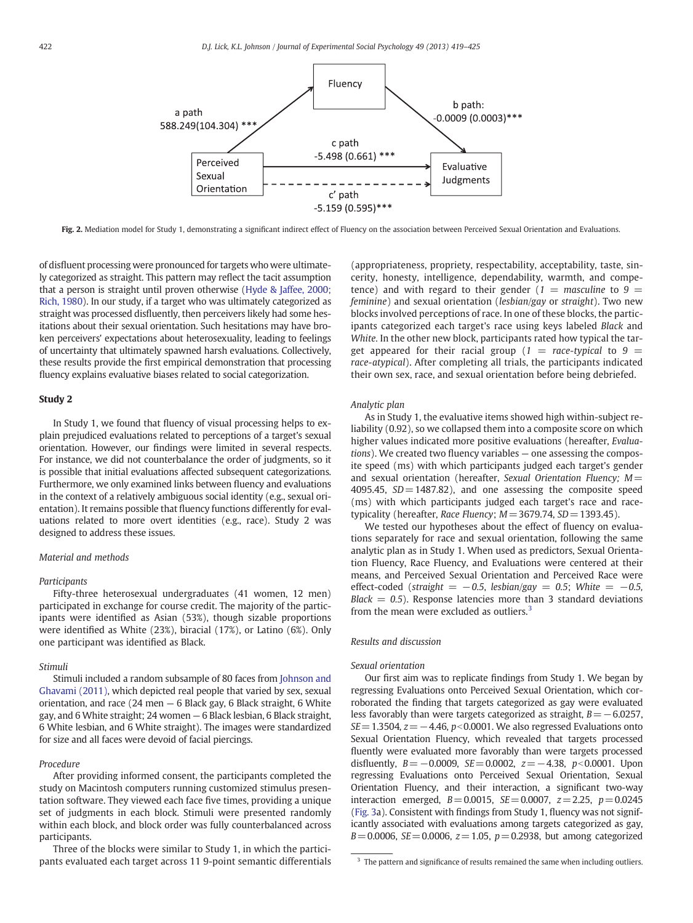

Fig. 2. Mediation model for Study 1, demonstrating a significant indirect effect of Fluency on the association between Perceived Sexual Orientation and Evaluations.

of disfluent processing were pronounced for targets who were ultimately categorized as straight. This pattern may reflect the tacit assumption that a person is straight until proven otherwise (Hyde & Jaffee, 2000; Rich, 1980). In our study, if a target who was ultimately categorized as straight was processed disfluently, then perceivers likely had some hesitations about their sexual orientation. Such hesitations may have broken perceivers' expectations about heterosexuality, leading to feelings of uncertainty that ultimately spawned harsh evaluations. Collectively, these results provide the first empirical demonstration that processing fluency explains evaluative biases related to social categorization.

#### Study 2

In Study 1, we found that fluency of visual processing helps to explain prejudiced evaluations related to perceptions of a target's sexual orientation. However, our findings were limited in several respects. For instance, we did not counterbalance the order of judgments, so it is possible that initial evaluations affected subsequent categorizations. Furthermore, we only examined links between fluency and evaluations in the context of a relatively ambiguous social identity (e.g., sexual orientation). It remains possible that fluency functions differently for evaluations related to more overt identities (e.g., race). Study 2 was designed to address these issues.

#### Material and methods

#### Participants

Fifty-three heterosexual undergraduates (41 women, 12 men) participated in exchange for course credit. The majority of the participants were identified as Asian (53%), though sizable proportions were identified as White (23%), biracial (17%), or Latino (6%). Only one participant was identified as Black.

#### Stimuli

Stimuli included a random subsample of 80 faces from Johnson and Ghavami (2011), which depicted real people that varied by sex, sexual orientation, and race (24 men — 6 Black gay, 6 Black straight, 6 White gay, and 6 White straight; 24 women — 6 Black lesbian, 6 Black straight, 6 White lesbian, and 6 White straight). The images were standardized for size and all faces were devoid of facial piercings.

#### Procedure

After providing informed consent, the participants completed the study on Macintosh computers running customized stimulus presentation software. They viewed each face five times, providing a unique set of judgments in each block. Stimuli were presented randomly within each block, and block order was fully counterbalanced across participants.

Three of the blocks were similar to Study 1, in which the participants evaluated each target across 11 9-point semantic differentials

(appropriateness, propriety, respectability, acceptability, taste, sincerity, honesty, intelligence, dependability, warmth, and competence) and with regard to their gender ( $1 =$  masculine to  $9 =$ feminine) and sexual orientation (lesbian/gay or straight). Two new blocks involved perceptions of race. In one of these blocks, the participants categorized each target's race using keys labeled Black and White. In the other new block, participants rated how typical the target appeared for their racial group ( $1 = race-typical$  to  $9 =$ race-atypical). After completing all trials, the participants indicated their own sex, race, and sexual orientation before being debriefed.

#### Analytic plan

As in Study 1, the evaluative items showed high within-subject reliability (0.92), so we collapsed them into a composite score on which higher values indicated more positive evaluations (hereafter, Evaluations). We created two fluency variables — one assessing the composite speed (ms) with which participants judged each target's gender and sexual orientation (hereafter, Sexual Orientation Fluency;  $M=$ 4095.45,  $SD = 1487.82$ ), and one assessing the composite speed (ms) with which participants judged each target's race and racetypicality (hereafter, Race Fluency;  $M=3679.74$ , SD = 1393.45).

We tested our hypotheses about the effect of fluency on evaluations separately for race and sexual orientation, following the same analytic plan as in Study 1. When used as predictors, Sexual Orientation Fluency, Race Fluency, and Evaluations were centered at their means, and Perceived Sexual Orientation and Perceived Race were effect-coded (straight =  $-0.5$ , lesbian/gay = 0.5; White =  $-0.5$ ,  $Black = 0.5$ ). Response latencies more than 3 standard deviations from the mean were excluded as outliers. $3$ 

### Results and discussion

#### Sexual orientation

Our first aim was to replicate findings from Study 1. We began by regressing Evaluations onto Perceived Sexual Orientation, which corroborated the finding that targets categorized as gay were evaluated less favorably than were targets categorized as straight,  $B=-6.0257$ ,  $SE=1.3504$ ,  $z=-4.46$ ,  $p<0.0001$ . We also regressed Evaluations onto Sexual Orientation Fluency, which revealed that targets processed fluently were evaluated more favorably than were targets processed disfluently,  $B=-0.0009$ ,  $SE=0.0002$ ,  $z=-4.38$ ,  $p<0.0001$ . Upon regressing Evaluations onto Perceived Sexual Orientation, Sexual Orientation Fluency, and their interaction, a significant two-way interaction emerged,  $B = 0.0015$ ,  $SE = 0.0007$ ,  $z = 2.25$ ,  $p = 0.0245$ (Fig. 3a). Consistent with findings from Study 1, fluency was not significantly associated with evaluations among targets categorized as gay,  $B=0.0006$ ,  $SE=0.0006$ ,  $z=1.05$ ,  $p=0.2938$ , but among categorized

<sup>&</sup>lt;sup>3</sup> The pattern and significance of results remained the same when including outliers.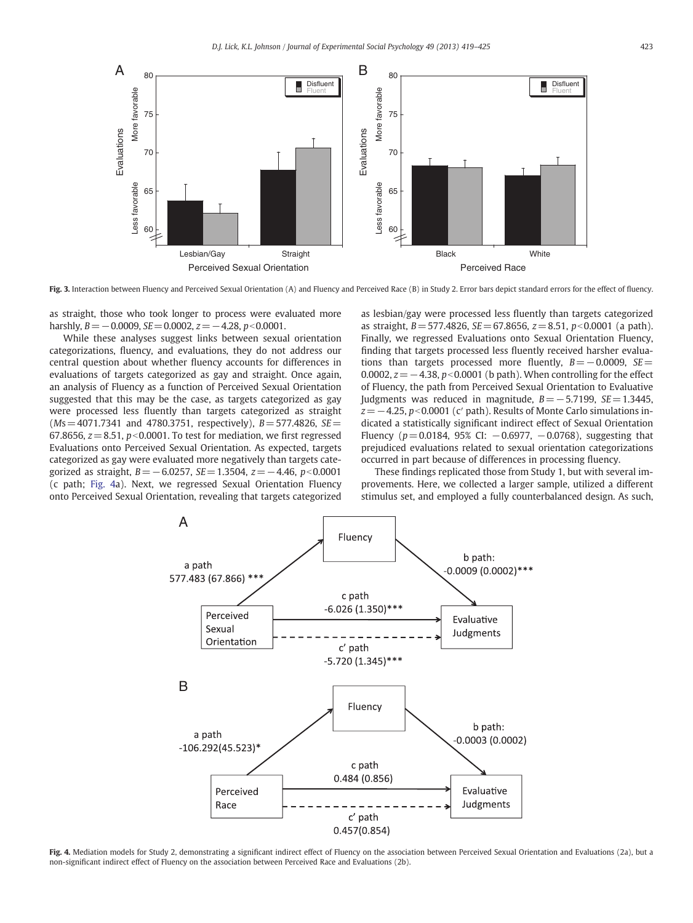

Fig. 3. Interaction between Fluency and Perceived Sexual Orientation (A) and Fluency and Perceived Race (B) in Study 2. Error bars depict standard errors for the effect of fluency.

as straight, those who took longer to process were evaluated more harshly,  $B = -0.0009$ ,  $SE = 0.0002$ ,  $z = -4.28$ ,  $p < 0.0001$ .

While these analyses suggest links between sexual orientation categorizations, fluency, and evaluations, they do not address our central question about whether fluency accounts for differences in evaluations of targets categorized as gay and straight. Once again, an analysis of Fluency as a function of Perceived Sexual Orientation suggested that this may be the case, as targets categorized as gay were processed less fluently than targets categorized as straight  $(Ms=4071.7341$  and 4780.3751, respectively),  $B=$  577.4826, SE = 67.8656,  $z = 8.51$ ,  $p < 0.0001$ . To test for mediation, we first regressed Evaluations onto Perceived Sexual Orientation. As expected, targets categorized as gay were evaluated more negatively than targets categorized as straight,  $B = -6.0257$ ,  $SE = 1.3504$ ,  $z = -4.46$ ,  $p < 0.0001$ (c path; Fig. 4a). Next, we regressed Sexual Orientation Fluency onto Perceived Sexual Orientation, revealing that targets categorized as lesbian/gay were processed less fluently than targets categorized as straight,  $B = 577.4826$ ,  $SE = 67.8656$ ,  $z = 8.51$ ,  $p < 0.0001$  (a path). Finally, we regressed Evaluations onto Sexual Orientation Fluency, finding that targets processed less fluently received harsher evaluations than targets processed more fluently,  $B=-0.0009$ ,  $SE=$ 0.0002,  $z=-4.38$ ,  $p<0.0001$  (b path). When controlling for the effect of Fluency, the path from Perceived Sexual Orientation to Evaluative Judgments was reduced in magnitude,  $B = -5.7199$ ,  $SE = 1.3445$ ,  $z=-4.25$ ,  $p<0.0001$  (c' path). Results of Monte Carlo simulations indicated a statistically significant indirect effect of Sexual Orientation Fluency ( $p=0.0184$ , 95% CI:  $-0.6977$ ,  $-0.0768$ ), suggesting that prejudiced evaluations related to sexual orientation categorizations occurred in part because of differences in processing fluency.

These findings replicated those from Study 1, but with several improvements. Here, we collected a larger sample, utilized a different stimulus set, and employed a fully counterbalanced design. As such,



Fig. 4. Mediation models for Study 2, demonstrating a significant indirect effect of Fluency on the association between Perceived Sexual Orientation and Evaluations (2a), but a non-significant indirect effect of Fluency on the association between Perceived Race and Evaluations (2b).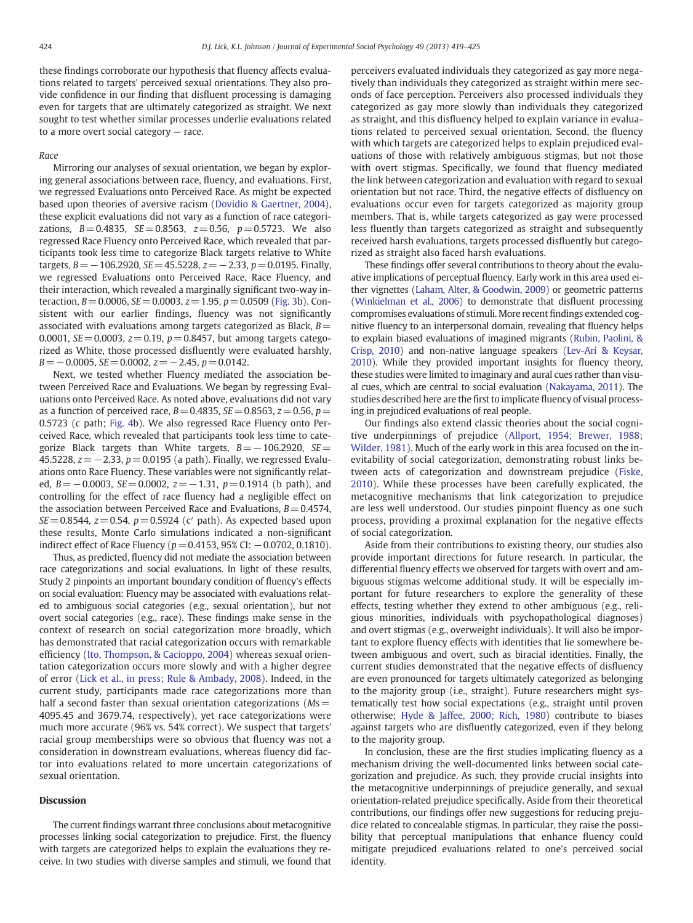these findings corroborate our hypothesis that fluency affects evaluations related to targets' perceived sexual orientations. They also provide confidence in our finding that disfluent processing is damaging even for targets that are ultimately categorized as straight. We next sought to test whether similar processes underlie evaluations related to a more overt social category — race.

#### Race

Mirroring our analyses of sexual orientation, we began by exploring general associations between race, fluency, and evaluations. First, we regressed Evaluations onto Perceived Race. As might be expected based upon theories of aversive racism (Dovidio & Gaertner, 2004), these explicit evaluations did not vary as a function of race categorizations,  $B = 0.4835$ ,  $SE = 0.8563$ ,  $z = 0.56$ ,  $p = 0.5723$ . We also regressed Race Fluency onto Perceived Race, which revealed that participants took less time to categorize Black targets relative to White targets,  $B = -106.2920$ ,  $SE = 45.5228$ ,  $z = -2.33$ ,  $p = 0.0195$ . Finally, we regressed Evaluations onto Perceived Race, Race Fluency, and their interaction, which revealed a marginally significant two-way interaction,  $B = 0.0006$ ,  $SE = 0.0003$ ,  $z = 1.95$ ,  $p = 0.0509$  (Fig. 3b). Consistent with our earlier findings, fluency was not significantly associated with evaluations among targets categorized as Black,  $B=$ 0.0001,  $SE = 0.0003$ ,  $z = 0.19$ ,  $p = 0.8457$ , but among targets categorized as White, those processed disfluently were evaluated harshly,  $B=-0.0005$ ,  $SE=0.0002$ ,  $z=-2.45$ ,  $p=0.0142$ .

Next, we tested whether Fluency mediated the association between Perceived Race and Evaluations. We began by regressing Evaluations onto Perceived Race. As noted above, evaluations did not vary as a function of perceived race,  $B=0.4835$ ,  $SE=0.8563$ ,  $z=0.56$ ,  $p=$ 0.5723 (c path; Fig. 4b). We also regressed Race Fluency onto Perceived Race, which revealed that participants took less time to categorize Black targets than White targets,  $B=-106.2920$ ,  $SE=$ 45.5228,  $z = -2.33$ ,  $p = 0.0195$  (a path). Finally, we regressed Evaluations onto Race Fluency. These variables were not significantly related, B = −0.0003, SE = 0.0002,  $z = -1.31$ ,  $p = 0.1914$  (b path), and controlling for the effect of race fluency had a negligible effect on the association between Perceived Race and Evaluations,  $B=0.4574$ ,  $SE = 0.8544$ ,  $z = 0.54$ ,  $p = 0.5924$  (c' path). As expected based upon these results, Monte Carlo simulations indicated a non-significant indirect effect of Race Fluency ( $p=0.4153$ , 95% CI:  $-0.0702$ , 0.1810).

Thus, as predicted, fluency did not mediate the association between race categorizations and social evaluations. In light of these results, Study 2 pinpoints an important boundary condition of fluency's effects on social evaluation: Fluency may be associated with evaluations related to ambiguous social categories (e.g., sexual orientation), but not overt social categories (e.g., race). These findings make sense in the context of research on social categorization more broadly, which has demonstrated that racial categorization occurs with remarkable efficiency (Ito, Thompson, & Cacioppo, 2004) whereas sexual orientation categorization occurs more slowly and with a higher degree of error (Lick et al., in press; Rule & Ambady, 2008). Indeed, in the current study, participants made race categorizations more than half a second faster than sexual orientation categorizations ( $Ms=$ 4095.45 and 3679.74, respectively), yet race categorizations were much more accurate (96% vs. 54% correct). We suspect that targets' racial group memberships were so obvious that fluency was not a consideration in downstream evaluations, whereas fluency did factor into evaluations related to more uncertain categorizations of sexual orientation.

#### Discussion

The current findings warrant three conclusions about metacognitive processes linking social categorization to prejudice. First, the fluency with targets are categorized helps to explain the evaluations they receive. In two studies with diverse samples and stimuli, we found that perceivers evaluated individuals they categorized as gay more negatively than individuals they categorized as straight within mere seconds of face perception. Perceivers also processed individuals they categorized as gay more slowly than individuals they categorized as straight, and this disfluency helped to explain variance in evaluations related to perceived sexual orientation. Second, the fluency with which targets are categorized helps to explain prejudiced evaluations of those with relatively ambiguous stigmas, but not those with overt stigmas. Specifically, we found that fluency mediated the link between categorization and evaluation with regard to sexual orientation but not race. Third, the negative effects of disfluency on evaluations occur even for targets categorized as majority group members. That is, while targets categorized as gay were processed less fluently than targets categorized as straight and subsequently received harsh evaluations, targets processed disfluently but categorized as straight also faced harsh evaluations.

These findings offer several contributions to theory about the evaluative implications of perceptual fluency. Early work in this area used either vignettes (Laham, Alter, & Goodwin, 2009) or geometric patterns (Winkielman et al., 2006) to demonstrate that disfluent processing compromises evaluations of stimuli. More recent findings extended cognitive fluency to an interpersonal domain, revealing that fluency helps to explain biased evaluations of imagined migrants (Rubin, Paolini, & Crisp, 2010) and non-native language speakers (Lev-Ari & Keysar, 2010). While they provided important insights for fluency theory, these studies were limited to imaginary and aural cues rather than visual cues, which are central to social evaluation (Nakayama, 2011). The studies described here are the first to implicate fluency of visual processing in prejudiced evaluations of real people.

Our findings also extend classic theories about the social cognitive underpinnings of prejudice (Allport, 1954; Brewer, 1988; Wilder, 1981). Much of the early work in this area focused on the inevitability of social categorization, demonstrating robust links between acts of categorization and downstream prejudice (Fiske, 2010). While these processes have been carefully explicated, the metacognitive mechanisms that link categorization to prejudice are less well understood. Our studies pinpoint fluency as one such process, providing a proximal explanation for the negative effects of social categorization.

Aside from their contributions to existing theory, our studies also provide important directions for future research. In particular, the differential fluency effects we observed for targets with overt and ambiguous stigmas welcome additional study. It will be especially important for future researchers to explore the generality of these effects, testing whether they extend to other ambiguous (e.g., religious minorities, individuals with psychopathological diagnoses) and overt stigmas (e.g., overweight individuals). It will also be important to explore fluency effects with identities that lie somewhere between ambiguous and overt, such as biracial identities. Finally, the current studies demonstrated that the negative effects of disfluency are even pronounced for targets ultimately categorized as belonging to the majority group (i.e., straight). Future researchers might systematically test how social expectations (e.g., straight until proven otherwise; Hyde & Jaffee, 2000; Rich, 1980) contribute to biases against targets who are disfluently categorized, even if they belong to the majority group.

In conclusion, these are the first studies implicating fluency as a mechanism driving the well-documented links between social categorization and prejudice. As such, they provide crucial insights into the metacognitive underpinnings of prejudice generally, and sexual orientation-related prejudice specifically. Aside from their theoretical contributions, our findings offer new suggestions for reducing prejudice related to concealable stigmas. In particular, they raise the possibility that perceptual manipulations that enhance fluency could mitigate prejudiced evaluations related to one's perceived social identity.